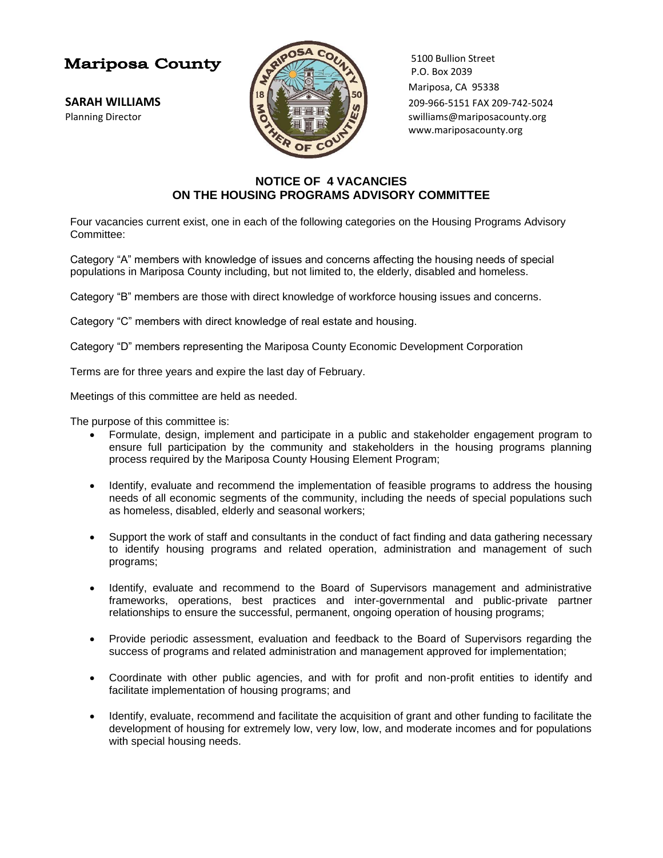## **Mariposa County**



5100 Bullion Street  $P.0.$  Box 2039 Mariposa, CA 95338 **SARAH WILLIAMS** 209-966-5151 FAX 209-742-5024 Planning Director **Supering the Contract of the Superior Superior Superior Superior Superior Superior Superior Superior Superior Superior Superior Superior Superior Superior Superior Superior Superior Superior Superior Sup** www.mariposacounty.org

## **NOTICE OF 4 VACANCIES ON THE HOUSING PROGRAMS ADVISORY COMMITTEE**

Four vacancies current exist, one in each of the following categories on the Housing Programs Advisory Committee:

Category "A" members with knowledge of issues and concerns affecting the housing needs of special populations in Mariposa County including, but not limited to, the elderly, disabled and homeless.

Category "B" members are those with direct knowledge of workforce housing issues and concerns.

Category "C" members with direct knowledge of real estate and housing.

Category "D" members representing the Mariposa County Economic Development Corporation

Terms are for three years and expire the last day of February.

Meetings of this committee are held as needed.

The purpose of this committee is:

- Formulate, design, implement and participate in a public and stakeholder engagement program to ensure full participation by the community and stakeholders in the housing programs planning process required by the Mariposa County Housing Element Program;
- Identify, evaluate and recommend the implementation of feasible programs to address the housing needs of all economic segments of the community, including the needs of special populations such as homeless, disabled, elderly and seasonal workers;
- Support the work of staff and consultants in the conduct of fact finding and data gathering necessary to identify housing programs and related operation, administration and management of such programs;
- Identify, evaluate and recommend to the Board of Supervisors management and administrative frameworks, operations, best practices and inter-governmental and public-private partner relationships to ensure the successful, permanent, ongoing operation of housing programs;
- Provide periodic assessment, evaluation and feedback to the Board of Supervisors regarding the success of programs and related administration and management approved for implementation;
- Coordinate with other public agencies, and with for profit and non-profit entities to identify and facilitate implementation of housing programs; and
- Identify, evaluate, recommend and facilitate the acquisition of grant and other funding to facilitate the development of housing for extremely low, very low, low, and moderate incomes and for populations with special housing needs.